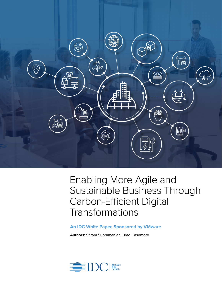

# Enabling More Agile and Sustainable Business Through Carbon-Efficient Digital **Transformations**

### **An IDC White Paper, Sponsored by VMware**

**Authors:** Sriram Subramanian, Brad Casemore

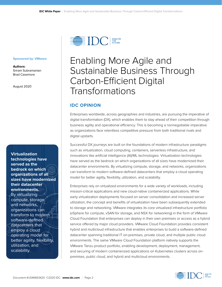

#### **Sponsored by: VMware**

**Authors:** Sriram Subramanian Brad Casemore

August 2020

**Virtualization technologies have served as the bedrock on which organizations of all sizes have modernized their datacenter environments.**  By virtualizing compute, storage, and networks, organizations can transform to modern software-defined datacenters that employ a cloud operating model for better agility, flexibility, utilization, and scalability.

# Enabling More Agile and Sustainable Business Through Carbon-Efficient Digital Transformations

### **IDC OPINION**

Enterprises worldwide, across geographies and industries, are pursuing the imperative of digital transformation (DX), which enables them to stay ahead of their competition through business agility and operational efficiency. This is becoming a nonnegotiable imperative as organizations face relentless competitive pressure from both traditional rivals and digital upstarts.

Successful DX journeys are built on the foundations of modern infrastructure paradigms such as virtualization, cloud computing, containers, serverless infrastructure, and innovations like artificial intelligence (AI)/ML technologies. Virtualization technologies have served as the bedrock on which organizations of all sizes have modernized their datacenter environments. By virtualizing compute, storage, and networks, organizations can transform to modern software-defined datacenters that employ a cloud operating model for better agility, flexibility, utilization, and scalability.

Enterprises rely on virtualized environments for a wide variety of workloads, including mission-critical applications and new cloud-native containerized applications. While early virtualization deployments focused on server consolidation and increased server utilization, the concept and benefits of virtualization have been subsequently extended to storage and networking. VMware integrates its core virtualized infrastructure portfolio (vSphere for compute, vSAN for storage, and NSX for networking) in the form of VMware Cloud Foundation that enterprises can deploy in their own premises or access as a hybrid service offered by major cloud providers. VMware Cloud Foundation provides consistent hybrid and multicloud infrastructure that enables enterprises to build a software-defined datacenter spanning traditional IT on-premises, private cloud, and multiple public cloud environments. The same VMware Cloud Foundation platform natively supports the VMware Tanzu product portfolio, enabling development, deployment, management, and securing of modern containerized applications on Kubernetes clusters across onpremises, public cloud, and hybrid and multicloud environments.

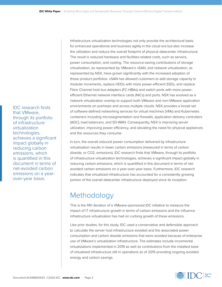IDC research finds that VMware, through its portfolio of infrastructure virtualization technologies, achieves a significant impact globally in reducing carbon emissions, which is quantified in this document in terms of net-avoided carbon emissions on a yearover-year basis.

Infrastructure virtualization technologies not only provide the architectural basis for enhanced operational and business agility in the cloud era but also increase the utilization and reduce the overall footprint of physical datacenter infrastructure. The result is reduced hardware and facilities-related costs, such as servers, power consumption, and cooling. The resource-saving contributions of storage virtualization, as represented by VMware's vSAN, and network virtualization, as represented by NSX, have grown significantly with the increased adoption of those product portfolios. vSAN has allowed customers to add storage capacity in modular increments, replace HDDs with more power-efficient SSDs, and replace Fibre Channel host bus adapters (FC-HBAs) and switch ports with more powerefficient Ethernet network interface cards (NICs) and ports. NSX has evolved as a network virtualization overlay to support both VMware and non-VMware application environments on premises and across multiple clouds. NSX provides a broad set of software-defined networking services for virtual machines (VMs) and Kubernetes containers including microsegmentation and firewalls, application delivery controllers (ADC), load balancers, and SD-WAN. Consequently, NSX is improving server utilization, improving power efficiency, and obviating the need for physical appliances and the resources they consume.

In turn, the overall reduced power consumption delivered by infrastructure virtualization results in lower carbon emissions (measured in terms of carbon dioxide, or CO2, emissions). IDC research finds that VMware, through its portfolio of infrastructure virtualization technologies, achieves a significant impact globally in reducing carbon emissions, which is quantified in this document in terms of netavoided carbon emissions on a year-over-year basis. Furthermore, IDC research indicates that virtualized infrastructure has accounted for a consistently growing portion of the overall datacenter infrastructure deployed since its inception.

# Methodology

This is the fifth iteration of a VMware-sponsored IDC initiative to measure the impact of IT infrastructure growth in terms of carbon emissions and the influence infrastructure virtualization has had on curbing growth of these emissions.

Like prior studies, for this study, IDC used a conservative and defensible approach to calculate the server host infrastructure avoided and the associated power consumption and carbon dioxide emissions that were avoided because of enterprise use of VMware's virtualization infrastructure. The estimates include incremental virtualizations implemented in 2019 as well as contributions from the installed base of virtualized infrastructure still in operations as of 2015 providing ongoing avoided energy and carbon savings.

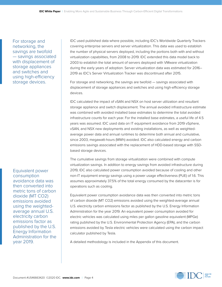For storage and networking, the savings are twofold — savings associated with displacement of storage appliances and switches and using high-efficiency storage devices.

Equivalent power consumption avoidance data was then converted into metric tons of carbon dioxide (MT CO2) emissions avoided using the weightedaverage annual U.S. electricity carbon emissions factor as published by the U.S. Energy Information Administration for the year 2019.

IDC used published data where possible, including IDC's Worldwide Quarterly Trackers covering enterprise servers and server virtualization. This data was used to establish the number of physical servers deployed, including the portions both with and without virtualization capabilities, from 2008 to 2019. IDC extended this data model back to 2003 to establish the total amount of servers deployed with VMware virtualization during the early years of adoption. Server virtualization data was estimated for 2016– 2019 as IDC's Server Virtualization Tracker was discontinued after 2015.

For storage and networking, the savings are twofold — savings associated with displacement of storage appliances and switches and using high-efficiency storage devices.

IDC calculated the impact of vSAN and NSX on host server utilization and resultant storage appliance and switch displacement. The annual avoided infrastructure estimate was combined with avoided installed base estimates to determine the total avoided infrastructure counts for each year. For the installed base estimates, a useful life of 4.5 years was assumed. IDC used data on IT equipment avoidance from 2019 vSphere, vSAN, and NSX new deployments and existing installations, as well as weightedaverage power data and annual runtimes to determine both annual and cumulative, since 2003, megawatt-hours (MWh) avoided. IDC also calculated energy and carbon emissions savings associated with the replacement of HDD-based storage with SSDbased storage devices.

The cumulative savings from storage virtualization were combined with compute virtualization savings. In addition to energy savings from avoided infrastructure during 2019, IDC also calculated power consumption avoided because of cooling and other non-IT equipment energy savings using a power usage effectiveness (PUE) of 1.6. This assumes approximately 37.5% of the total energy consumed by the datacenter is for operations such as cooling.

Equivalent power consumption avoidance data was then converted into metric tons of carbon dioxide (MT CO2) emissions avoided using the weighted-average annual U.S. electricity carbon emissions factor as published by the U.S. Energy Information Administration for the year 2019. An equivalent power consumption avoided for electric vehicles was calculated using miles per gallon gasoline equivalent (MPGe) rating published by the U.S. Environmental Protection Agency (EPA), and the carbon emissions avoided by Tesla electric vehicles were calculated using the carbon impact calculator published by Tesla.

A detailed methodology is included in the Appendix of this document.

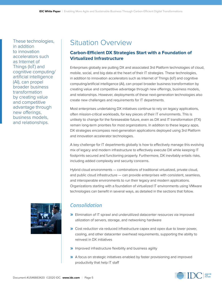These technologies, in addition to innovation accelerators such as Internet of Things (IoT) and cognitive computing/ artificial intelligence (AI), can propel broader business transformation by creating value and competitive advantage through new offerings, business models, and relationships.

# Situation Overview

# **Carbon-Efficient DX Strategies Start with a Foundation of Virtualized Infrastructure**

Enterprises globally are putting DX and associated 3rd Platform technologies of cloud, mobile, social, and big data at the heart of their IT strategies. These technologies, in addition to innovation accelerators such as Internet of Things (IoT) and cognitive computing/artificial intelligence (AI), can propel broader business transformation by creating value and competitive advantage through new offerings, business models, and relationships. However, deployments of these next-generation technologies also create new challenges and requirements for IT departments.

Most enterprises undertaking DX initiatives continue to rely on legacy applications, often mission-critical workloads, for key pieces of their IT environments. This is unlikely to change for the foreseeable future, even as DX and IT transformation (ITX) remain long-term priorities for most organizations. In addition to these legacy apps, DX strategies encompass next-generation applications deployed using 3rd Platform and innovation accelerator technologies.

A key challenge for IT departments globally is how to effectively manage this evolving mix of legacy and modern infrastructure to effectively execute DX while keeping IT footprints secured and functioning properly. Furthermore, DX inevitably entails risks, including added complexity and security concerns.

Hybrid cloud environments — combinations of traditional virtualized, private cloud, and public cloud infrastructure — can provide enterprises with consistent, seamless, and interoperable environments to run their legacy and modern applications. Organizations starting with a foundation of virtualized IT environments using VMware technologies can benefit in several ways, as detailed in the sections that follow.

# *Consolidation*

- **»** Elimination of IT sprawl and underutilized datacenter resources via improved utilization of servers, storage, and networking hardware
- **»** Cost reduction via reduced infrastructure capex and opex due to lower power, cooling, and other datacenter overhead requirements, supporting the ability to reinvest in DX initiatives
- **»** Improved infrastructure flexibility and business agility
- **»** A focus on strategic initiatives enabled by faster provisioning and improved productivity that help IT staff

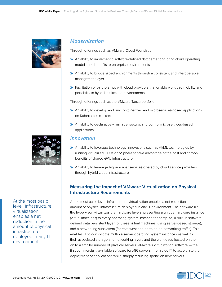

# *Modernization*

Through offerings such as VMware Cloud Foundation:

- **»** An ability to implement a software-defined datacenter and bring cloud operating models and benefits to enterprise environments
- **»** An ability to bridge siloed environments through a consistent and interoperable management layer
- **»** Facilitation of partnerships with cloud providers that enable workload mobility and portability in hybrid, multicloud environments

Through offerings such as the VMware Tanzu portfolio:

- **»** An ability to develop and run containerized and microservices-based applications on Kubernetes clusters
- **»** An ability to declaratively manage, secure, and control microservices-based applications



At the most basic level, infrastructure virtualization enables a net reduction in the amount of physical infrastructure deployed in any IT environment.

## *Innovation*

- **»** An ability to leverage technology innovations such as AI/ML technologies by running virtualized GPUs on vSphere to take advantage of the cost and carbon benefits of shared GPU infrastructure
- **»** An ability to leverage higher-order services offered by cloud service providers through hybrid cloud infrastructure

### **Measuring the Impact of VMware Virtualization on Physical Infrastructure Requirements**

At the most basic level, infrastructure virtualization enables a net reduction in the amount of physical infrastructure deployed in any IT environment. The software (i.e., the hypervisor) virtualizes the hardware layers, presenting a unique hardware instance (virtual machines) to every operating system instance for compute, a built-in softwaredefined data persistent layer for these virtual machines (using server-based storage), and a networking subsystem (for east-west and north-south networking traffic). This enables IT to consolidate multiple server operating system instances as well as their associated storage and networking layers and the workloads hosted on them on to a smaller number of physical servers. VMware's virtualization software — the first commercially available software for x86 servers — enabled IT to accelerate the deployment of applications while sharply reducing spend on new servers.

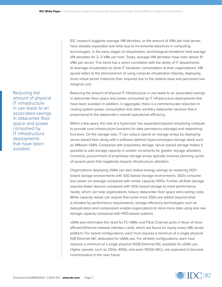IDC research suggests average VM densities, or the amount of VMs per host server, have steadily expanded over time due to incremental advances in computing technologies. In the early stages of virtualization, technological limitations held average VM densities for 2–3 VMs per host. Today, average VM densities have risen above 10 VMs per server. This trend has a direct correlation with the ability of IT departments to leverage virtualization to drive IT hardware consolidation at their organizations. VM sprawl refers to the phenomenon of using compute virtualization liberally, deploying more virtual server instances than required due to the relative ease and perceived low marginal cost.

Reducing the amount of physical IT infrastructure in use leads to an associated savings in datacenter floor space and power consumed by IT infrastructure deployments that have been avoided. In addition, in aggregate, there is a commensurate reduction in cooling system power consumption and other ancillary datacenter services that is proportional to the datacenter's overall operational efficiency.

Within a few years, the role of a hypervisor has expanded beyond virtualizing compute to provide core infrastructure functions for data persistence (storage) and networking functions. On the storage side, IT can reduce spend on storage arrays by deploying server-based flash along with a software-defined hyperconverged storage stack such as VMware vSAN. Compared with proprietary storage, server-based storage makes it possible to add storage capacity in smaller increments for greater storage utilization. Contrarily, procurement of proprietary storage arrays typically involves planning cycles of several years that negatively impacts infrastructure utilization.

Organizations deploying vSAN can also realize energy savings by replacing HDDbased storage environments with SSD-based storage environments. SSDs consume less power on average compared with similar capacity HDDs. Further, all-flash storage requires fewer devices compared with HDD-based storage to meet performance needs, which can help organizations reduce datacenter floor space and cooling costs. While capacity needs can require that some more SSDs are added beyond what is dictated by performance requirements, storage efficiency technologies such as deduplication and compression enable organizations to store more data using less raw storage capacity compared with HDD-based systems.

vSAN also eliminates the need for FC-HBAs and Fibre Channel ports in favor of more efficient Ethernet network interface cards, which are found on nearly every x86 server platform. For hybrid configurations, each host requires a minimum of a single physical 1GB Ethernet NIC dedicated for vSAN use. For all-flash configurations, each host requires a minimum of a single physical 10GB Ethernet NIC available for vSAN use. Higher speeds, such as 25Gb, 40Gb, and even 100Gb NICs, are expected to become commonplace in the near future.



Reducing the amount of physical IT infrastructure in use leads to an associated savings in datacenter floor space and power consumed by IT infrastructure deployments that have been avoided.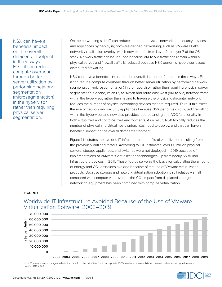NSX can have a beneficial impact on the overall datacenter footprint in three ways. First, it can reduce compute overhead through better server utilization by performing network segmentation (microsegmentation) in the hypervisor rather than requiring physical server segmentation.

On the networking side, IT can reduce spend on physical network and security devices and appliances by deploying software-defined networking, such as VMware NSX's network virtualization overlay, which now extends from Layer 2 to Layer 7 of the OSI stack. Network traffic can be reduced because VM-to-VM traffic can remain within a physical server, and firewall traffic is reduced because NSX performs hypervisor-based distributed firewalling.

NSX can have a beneficial impact on the overall datacenter footprint in three ways. First, it can reduce compute overhead through better server utilization by performing network segmentation (microsegmentation) in the hypervisor rather than requiring physical server segmentation. Second, its ability to switch and route east-west (VM-to-VM) network traffic within the hypervisor, rather than having to traverse the physical datacenter network, reduces the number of physical networking devices that are required. Third, it minimizes the use of network and security appliances because NSX performs distributed firewalling within the hypervisor and now also provides load-balancing and ADC functionality in both virtualized and containerized environments. As a result, NSX typically reduces the number of physical and virtual hosts enterprises need to deploy, and that can have a beneficial impact on the overall datacenter footprint.

Figure 1 illustrates the avoided IT infrastructure benefits of virtualization resulting from the previously outlined factors. According to IDC estimates, over 66 million physical servers, storage appliances, and switches were not deployed in 2019 because of implementations of VMware's virtualization technologies, up from nearly 55 million infrastructure devices in 2017. These figures serve as the basis for calculating the amount of energy and  $CO<sub>2</sub>$  emissions avoided because of the use of VMware virtualization products. Because storage and network virtualization adoption is still relatively small compared with compute virtualization, the  $CO<sub>2</sub>$  impact from displaced storage and networking equipment has been combined with compute virtualization.

### **FIGURE 1**



Worldwide IT Infrastructure Avoided Because of the Use of VMware Virtualization Software, 2003–2019

Note: There are minor changes to historical data from the prior iteration to incorporate IDC's most up-to-date published data and other modeling refinements. Source: IDC, 2020

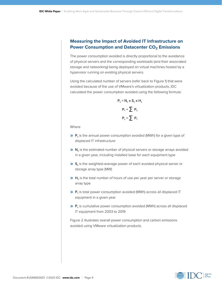### **Measuring the Impact of Avoided IT Infrastructure on Power Consumption and Datacenter CO<sub>2</sub> Emissions**

The power consumption avoided is directly proportional to the avoidance of physical servers and the corresponding workloads (and their associated storage and networking) being deployed on virtual machines hosted by a hypervisor running on existing physical servers.

Using the calculated number of servers (refer back to Figure 1) that were avoided because of the use of VMware's virtualization products, IDC calculated the power consumption avoided using the following formula:

$$
P_s = N_s \times S_s \times H_s
$$

$$
P_{\tau} = \sum P_s
$$

$$
P_c = \sum P_{\tau}
$$

Where

- **» P**<sub>s</sub> is the annual power consumption avoided (MWh) for a given type of displaced IT infrastructure
- **»** N<sub>s</sub> is the estimated number of physical servers or storage arrays avoided in a given year, including installed base for each equipment type
- **»** S<sub>s</sub> is the weighted-average power of each avoided physical server or storage array type (MW)
- **»** H<sub>s</sub> is the total number of hours of use per year per server or storage array type
- **»** P<sub>r</sub> is total power consumption avoided (MWh) across all displaced IT equipment in a given year
- **»** P<sub>c</sub> is cumulative power consumption avoided (MWh) across all displaced IT equipment from 2003 to 2019

Figure 2 illustrates overall power consumption and carbon emissions avoided using VMware virtualization products.

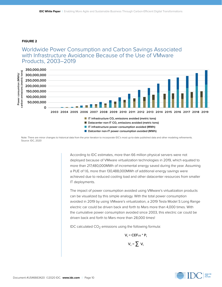#### **FIGURE 2**

# Worldwide Power Consumption and Carbon Savings Associated with Infrastructure Avoidance Because of the Use of VMware Products, 2003–2019



Note: There are minor changes to historical data from the prior iteration to incorporate IDC's most up-to-date published data and other modeling refinements. Source: IDC, 2020

> According to IDC estimates, more than 66 million physical servers were not deployed because of VMware virtualization technologies in 2019, which equated to more than 217,480,000MWh of incremental energy saved during the year. Assuming a PUE of 1.6, more than 130,488,000MWh of additional energy savings were achieved due to reduced cooling load and other datacenter resources from smaller IT deployments.

> The impact of power consumption avoided using VMware's virtualization products can be visualized by this simple analogy. With the total power consumption avoided in 2019 by using VMware's virtualization, a 2019 Tesla Model S Long Range electric car could be driven back and forth to Mars more than 4,000 times. With the cumulative power consumption avoided since 2003, this electric car could be driven back and forth to Mars more than 28,000 times!

IDC calculated  $CO<sub>2</sub>$  emissions using the following formula:

$$
V_t = CEF_{US} * P_t
$$

$$
V_c = \sum V_t
$$

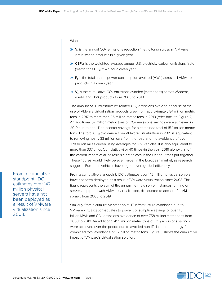Where

- **»**  $V_t$  is the annual CO<sub>2</sub> emissions reduction (metric tons) across all VMware virtualization products in a given year
- **»** CEFUS is the weighted-average annual U.S. electricity carbon emissions factor (metric tons CO<sub>2</sub>/MWh) for a given year
- **»**  $P_t$  is the total annual power consumption avoided (MWh) across all VMware products in a given year
- **»**  $V_c$  is the cumulative CO<sub>2</sub> emissions avoided (metric tons) across vSphere, vSAN, and NSX products from 2003 to 2019

The amount of IT infrastructure-related  $CO<sub>2</sub>$  emissions avoided because of the use of VMware virtualization products grew from approximately 84 million metric tons in 2017 to more than 95 million metric tons in 2019 (refer back to Figure 2). An additional 57 million metric tons of  $CO<sub>2</sub>$  emissions savings were achieved in 2019 due to non-IT datacenter savings, for a combined total of 152 million metric tons. The total  $CO<sub>2</sub>$  avoidance from VMware virtualization in 2019 is equivalent to removing nearly 33 million cars from the road and the avoidance of over 378 billion miles driven using averages for U.S. vehicles. It is also equivalent to more than 337 times (cumulatively) or 40 times (in the year 2019 alone) that of the carbon impact of all of Tesla's electric cars in the United States put together. These figures would likely be even larger in the European market, as research suggests European vehicles have higher average fuel efficiency.

From a cumulative standpoint, IDC estimates over 142 million physical servers have not been deployed as a result of VMware virtualization since 2003. This figure represents the sum of the annual net-new server instances running on servers equipped with VMware virtualization, discounted to account for VM sprawl, from 2003 to 2019.

Similarly, from a cumulative standpoint, IT infrastructure avoidance due to VMware virtualization equates to power consumption savings of over 1.5 billion MWh and  $CO<sub>2</sub>$  emissions avoidance of over 758 million metric tons from 2003 to 2019. An additional 455 million metric tons of  $CO<sub>2</sub>$  emissions savings were achieved over the period due to avoided non-IT datacenter energy for a combined total avoidance of 1.2 billion metric tons. Figure 3 shows the cumulative impact of VMware's virtualization solution.

From a cumulative standpoint, IDC estimates over 142 million physical servers have not been deployed as a result of VMware virtualization since 2003.

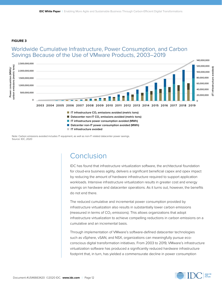#### **FIGURE 3**

# Worldwide Cumulative Infrastructure, Power Consumption, and Carbon Savings Because of the Use of VMware Products, 2003–2019



Note: Carbon emissions avoided includes IT equipment, as well as non-IT related datacenter power savings. Source: IDC, 2020

# Conclusion

IDC has found that infrastructure virtualization software, the architectural foundation for cloud-era business agility, delivers a significant beneficial capex and opex impact by reducing the amount of hardware infrastructure required to support application workloads. Intensive infrastructure virtualization results in greater cost and energy savings on hardware and datacenter operations. As it turns out, however, the benefits do not end there.

The reduced cumulative and incremental power consumption provided by infrastructure virtualization also results in substantially lower carbon emissions (measured in terms of  $CO<sub>2</sub>$  emissions). This allows organizations that adopt infrastructure virtualization to achieve compelling reductions in carbon emissions on a cumulative and an incremental basis.

Through implementation of VMware's software-defined datacenter technologies such as vSphere, vSAN, and NSX, organizations can meaningfully pursue ecoconscious digital transformation initiatives. From 2003 to 2019, VMware's infrastructure virtualization software has produced a significantly reduced hardware infrastructure footprint that, in turn, has yielded a commensurate decline in power consumption

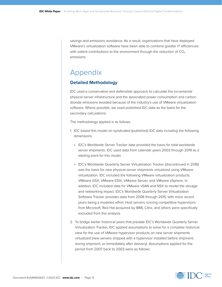savings and emissions avoidance. As a result, organizations that have deployed VMware's virtualization software have been able to combine greater IT efficiencies with salient contributions to the environment through the reduction of  $CO<sub>2</sub>$ emissions.

# Appendix

## **Detailed Methodology**

IDC used a conservative and defensible approach to calculate the incremental physical server infrastructure and the associated power consumption and carbon dioxide emissions avoided because of the industry's use of VMware virtualization software. Where possible, we used published IDC data as the basis for the secondary calculations.

The methodology applied is as follows:

- 1. IDC based this model on syndicated (published) IDC data including the following dimensions:
	- IDC's Worldwide Server Tracker data provided the basis for total worldwide server shipments. IDC used data from calendar years 2003 through 2019 as a starting point for this model.
	- IDC's Worldwide Quarterly Server Virtualization Tracker (discontinued in 2016) was the basis for new physical server shipments virtualized using VMware virtualization. IDC included the following VMware virtualization products: VMware GSX, VMware ESXi, VMware Server, and VMware vSphere. In addition, IDC included data for VMware vSAN and NSX to model the storage and networking impact. IDC's Worldwide Quarterly Server Virtualization Software Tracker provides data from 2008 through 2015, with more recent years being a modeled effort. Host servers running competitive hypervisors from Microsoft, Red Hat (acquired by IBM), Citrix, and others were specifically excluded from this analysis.
- 2. To bridge earlier historical years that predate IDC's Worldwide Quarterly Server Virtualization Tracker, IDC applied assumptions to solve for a complete historical view for the use of VMware hypervisor products on new server shipments virtualized (new servers shipped with a hypervisor installed before shipment, during shipment, or immediately after delivery). Assumptions applied for the period from 2007 back to 2003 were as follows:

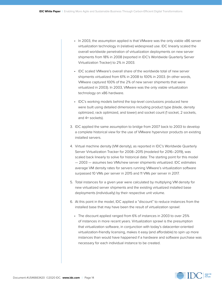- In 2003, the assumption applied is that VMware was the only viable x86 server virtualization technology in (relative) widespread use. IDC linearly scaled the overall worldwide penetration of virtualization deployments on new server shipments from 18% in 2008 (reported in IDC's Worldwide Quarterly Server Virtualization Tracker) to 2% in 2003.
- IDC scaled VMware's overall share of the worldwide total of new server shipments virtualized from 61% in 2008 to 100% in 2003. (In other words, VMware captured 100% of the 2% of new server shipments that were virtualized in 2003). In 2003, VMware was the only viable virtualization technology on x86 hardware.
- IDC's working models behind the top-level conclusions produced here were built using detailed dimensions including product type (blade, density optimized, rack optimized, and tower) and socket count (1 socket, 2 sockets, and 4+ sockets).
- 3. IDC applied the same assumption to bridge from 2007 back to 2003 to develop a complete historical view for the use of VMware hypervisor products on existing installed servers.
- 4. Virtual machine density (VM density), as reported in IDC's Worldwide Quarterly Server Virtualization Tracker for 2008–2015 (modeled for 2016–2019), was scaled back linearly to solve for historical data: The starting point for this model — 2003 — assumes two VMs/new server shipments virtualized. IDC estimates average VM density rates for servers running VMware's virtualization software surpassed 10 VMs per server in 2015 and 11 VMs per server in 2017.
- 5. Total instances for a given year were calculated by multiplying VM density for new virtualized server shipments and the existing virtualized installed base deployments (individually) by their respective unit volume.
- 6. At this point in the model, IDC applied a "discount" to reduce instances from the installed base that may have been the result of virtualization sprawl:
	- The discount applied ranged from 6% of instances in 2003 to over 25% of instances in more recent years. Virtualization sprawl is the presumption that virtualization software, in conjunction with today's datacenter-oriented virtualization-friendly licensing, makes it easy (and affordable) to spin up more instances than would have happened if a hardware and software purchase was necessary for each indiv[idual instance to be created.](http://www.ghgprotocol.org/corporate-standard)

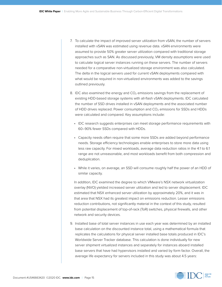- 7. To calculate the impact of improved server utilization from vSAN, the number of servers installed with vSAN was estimated using revenue data. vSAN environments were assumed to provide 50% greater server utilization compared with traditional storage approaches such as SAN. As discussed previously, VM density assumptions were used to calculate logical server instances running on these servers. The number of servers needed for a comparative non-virtualized storage environment was also calculated. The delta in the logical servers used for current vSAN deployments compared with what would be required in non-virtualized environments was added to the savings outlined previously.
- 8. IDC also examined the energy and  $CO<sub>2</sub>$  emissions savings from the replacement of existing HDD-based storage systems with all-flash vSAN deployments. IDC calculated the number of SSD drives installed in vSAN deployments and the associated number of HDD drives replaced. Power consumption and  $CO<sub>2</sub>$  emissions for SSDs and HDDs were calculated and compared. Key assumptions include:
	- IDC research suggests enterprises can meet storage performance requirements with 60–90% fewer SSDs compared with HDDs.
	- Capacity needs often require that some more SSDs are added beyond performance needs. Storage efficiency technologies enable enterprises to store more data using less raw capacity. For mixed workloads, average data reduction ratios in the 4:1 to 6:1 range are not unreasonable, and most workloads benefit from both compression and deduplication.
	- While it varies, on average, an SSD will consume roughly half the power of an HDD of similar capacity.

 In addition, IDC examined the degree to which VMware's NSX network virtualization overlay (NVO) yielded increased server utilization and led to server displacement. IDC estimated that NSX enhanced server utilization by approximately 20%, and it was in that area that NSX had its greatest impact on emissions reduction. Lesser emissions reduction contributions, not significantly material in the context of this study, resulted from potential displacement of top-of-rack (ToR) switches, physical firewalls, and other network and security devices.

9. Installed base of total server instances in use each year was determined by an installed base calculation on the discounted instance total, using a mathematical formula that replicates the calculations for physical server installed base totals produced in IDC's Worldwide Server Tracker database. This calculation is done individually for new server shipment virtualized instances and separately for instances aboard installed base servers that have had hypervisors installed and varied by form factor. Overall, the average life expectancy for servers included in this study was about 4.5 years:

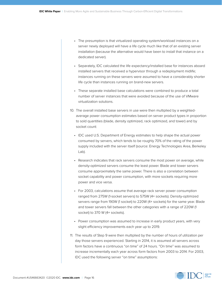- The presumption is that virtualized operating system/workload instances on a server newly deployed will have a life cycle much like that of an existing server installation (because the alternative would have been to install that instance on a dedicated server).
- Separately, IDC calculated the life expectancy/installed base for instances aboard installed servers that received a hypervisor through a redeployment midlife; instances running on these servers were assumed to have a considerably shorter life cycle than instances running on brand-new servers.
- These separate installed base calculations were combined to produce a total number of server instances that were avoided because of the use of VMware virtualization solutions.
- 10. The overall installed base servers in use were then multiplied by a weightedaverage power consumption estimates based on server product types in proportion to sold quantities (blade, density optimized, rack optimized, and tower) and by socket count:
	- IDC used U.S. Department of Energy estimates to help shape the actual power consumed by servers, which tends to be roughly 70% of the rating of the power supply included with the server itself (source: Energy Technologies Area, Berkeley Lab).
	- Research indicates that rack servers consume the most power on average, while density-optimized servers consume the least power. Blade and tower servers consume approximately the same power. There is also a correlation between socket capability and power consumption, with more sockets requiring more power and vice versa.
	- For 2003, calculations assume that average rack server power consumption ranged from 275W (1-socket servers) to 575W (4+ sockets). Density-optimized servers range from 190W (1 socket) to 220W (4+ sockets) for the same year. Blade and tower servers fall between the other categories with a range of 220W (1 socket) to 370 W (4+ sockets).
	- Power consumption was assumed to increase in early product years, with very slight efficiency improvements each year up to 2019.
- 11. The results of Step 9 were then multiplied by the number of hours of utilization per day those servers experienced. Starting in 2014, it is assumed all servers across form factors have a continuous "on time" of 24 hours. "On time" was assumed to increase incrementally each year across form factors from 2003 to 2014. For 2003, IDC used the following server "on time" assumptions:

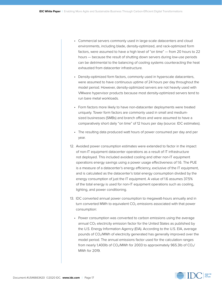- Commercial servers commonly used in large-scale datacenters and cloud environments, including blade, density-optimized, and rack-optimized form factors, were assumed to have a high level of "on time" — from 20 hours to 22 hours — because the result of shutting down servers during low-use periods can be detrimental to the balancing of cooling systems counteracting the heat exhausted from datacenter infrastructure.
- Density-optimized form factors, commonly used in hyperscale datacenters, were assumed to have continuous uptime of 24 hours per day throughout the model period. However, density-optimized servers are not heavily used with VMware hypervisor products because most density-optimized servers tend to run bare metal workloads.
- Form factors more likely to have non-datacenter deployments were treated uniquely. Tower form factors are commonly used in small and mediumsized businesses (SMBs) and branch offices and were assumed to have a comparatively short daily "on time" of 12 hours per day (source: IDC estimates).
- The resulting data produced watt hours of power consumed per day and per year.
- 12. Avoided power consumption estimates were extended to factor in the impact of non-IT equipment datacenter operations as a result of IT infrastructure not deployed. This included avoided cooling and other non-IT equipment operations energy savings using a power usage effectiveness of 1.6. The PUE is a measure of a datacenter's energy efficiency, exclusive of the IT equipment, and is calculated as the datacenter's total energy consumption divided by the energy consumption of just the IT equipment. A value of 1.6 assumes 37.5% of the total energy is used for non-IT equipment operations such as cooling, lighting, and power conditioning.
- 13. IDC converted annual power consumption to megawatt-hours annually and in turn converted MWh to equivalent  $CO<sub>2</sub>$  emissions associated with that power consumption:
	- Power consumption was converted to carbon emissions using the average annual  $CO<sub>2</sub>$  electricity emission factor for the United States as published by the U.S. Energy Information Agency (EIA). According to the U.S. EIA, average pounds of CO2/MWh of electricity generated has generally improved over the model period. The annual emissions factor used for the calculation ranges from nearly 1,400lb of  $CO_2$ /MWh for 2003 to approximately 965.3lb of  $CO_2$ / MWh for 2019.

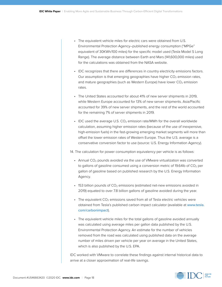- The equivalent vehicle miles for electric cars were obtained from U.S. Environmental Protection Agency–published energy consumption ("MPGe" equivalent of 30KWh/100 miles) for the specific model used (Tesla Model S Long Range). The average distance between Earth and Mars (141,600,000 miles) used for the calculations was obtained from the NASA website.
- IDC recognizes that there are differences in country electricity emissions factors. Our assumption is that emerging geographies have higher  $CO<sub>2</sub>$  emission rates, and mature geographies (such as Western Europe) have lower  $CO<sub>2</sub>$  emission rates.
- The United States accounted for about 41% of new server shipments in 2019, while Western Europe accounted for 13% of new server shipments. Asia/Pacific accounted for 39% of new server shipments, and the rest of the world accounted for the remaining 7% of server shipments in 2019.
- IDC used the average U.S.  $CO<sub>2</sub>$  emission rate/MWh for the overall worldwide calculation, assuming higher emission rates (because of the use of inexpensive, high-emission fuels) in the fast-growing emerging market segments will more than offset the lower emission rates of Western Europe. Thus the U.S. average is a conservative conversion factor to use (source: U.S. Energy Information Agency).

14. The calculation for power consumption equivalency per vehicle is as follows:

- Annual  $CO<sub>2</sub>$  pounds avoided via the use of VMware virtualization was converted to gallons of gasoline consumed using a conversion metric of 19.64lb of  $CO<sub>2</sub>$  per gallon of gasoline based on published research by the U.S. Energy Information Agency.
- $\cdot$  153 billion pounds of CO<sub>2</sub> emissions (estimated net-new emissions avoided in 2019) equated to over 7.8 billion gallons of gasoline avoided during the year.
- The equivalent  $CO<sub>2</sub>$  emissions saved from all of Tesla electric vehicles were obtained from Tesla's published carbon impact calculator (available at www.tesla. com/carbonimpact).
- The equivalent vehicle miles for the total gallons of gasoline avoided annually was calculated using average miles per gallon data published by the U.S. Environmental Protection Agency. An estimate for the number of vehicles removed from the road was calculated using published data on the average number of miles driven per vehicle per year on average in the United States, which is also published by the U.S. EPA.

IDC worked with VMware to correlate these findings against internal historical data to arrive at a closer approximation of real-life savings.